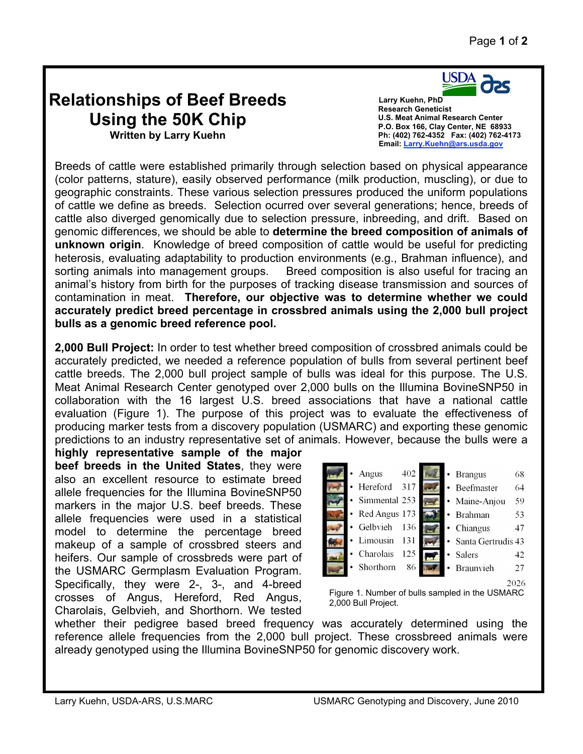## **Relationships of Beef Breeds Using the 50K Chip Written by Larry Kuehn**

USDA

 **Larry Kuehn, PhD Research Geneticist U.S. Meat Animal Research Center P.O. Box 166, Clay Center, NE 68933 Ph: (402) 762-4352 Fax: (402) 762-4173 Email: Larry.Kuehn@ars.usda.gov**

Breeds of cattle were established primarily through selection based on physical appearance (color patterns, stature), easily observed performance (milk production, muscling), or due to geographic constraints. These various selection pressures produced the uniform populations of cattle we define as breeds. Selection ocurred over several generations; hence, breeds of cattle also diverged genomically due to selection pressure, inbreeding, and drift. Based on genomic differences, we should be able to **determine the breed composition of animals of unknown origin**. Knowledge of breed composition of cattle would be useful for predicting heterosis, evaluating adaptability to production environments (e.g., Brahman influence), and sorting animals into management groups. Breed composition is also useful for tracing an animal's history from birth for the purposes of tracking disease transmission and sources of contamination in meat. **Therefore, our objective was to determine whether we could accurately predict breed percentage in crossbred animals using the 2,000 bull project bulls as a genomic breed reference pool.**

**2,000 Bull Project:** In order to test whether breed composition of crossbred animals could be accurately predicted, we needed a reference population of bulls from several pertinent beef cattle breeds. The 2,000 bull project sample of bulls was ideal for this purpose. The U.S. Meat Animal Research Center genotyped over 2,000 bulls on the Illumina BovineSNP50 in collaboration with the 16 largest U.S. breed associations that have a national cattle evaluation (Figure 1). The purpose of this project was to evaluate the effectiveness of producing marker tests from a discovery population (USMARC) and exporting these genomic predictions to an industry representative set of animals. However, because the bulls were a

**highly representative sample of the major beef breeds in the United States**, they were also an excellent resource to estimate breed allele frequencies for the Illumina BovineSNP50 markers in the major U.S. beef breeds. These allele frequencies were used in a statistical model to determine the percentage breed makeup of a sample of crossbred steers and heifers. Our sample of crossbreds were part of the USMARC Germplasm Evaluation Program. Specifically, they were 2-, 3-, and 4-breed crosses of Angus, Hereford, Red Angus, Charolais, Gelbvieh, and Shorthorn. We tested



Figure 1. Number of bulls sampled in the USMARC 2,000 Bull Project.

whether their pedigree based breed frequency was accurately determined using the reference allele frequencies from the 2,000 bull project. These crossbreed animals were already genotyped using the Illumina BovineSNP50 for genomic discovery work.